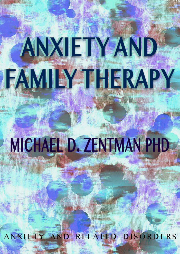# **ANXIETY AND FAMILY THERAPY**

# **MICHAEL D. ZENTMAN PHD**

ANXIETY AND RELATED DISORDERS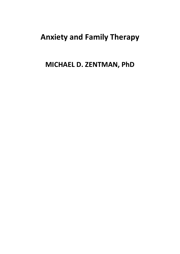# **Anxiety and Family Therapy**

# **MICHAEL D. ZENTMAN, PhD**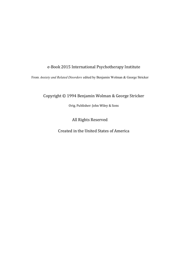#### e-Book 2015 International Psychotherapy Institute

From *Anxiety and Related Disorders* edited by Benjamin Wolman & George Stricker

Copyright © 1994 Benjamin Wolman & George Stricker

Orig. Publisher: John Wiley & Sons

All Rights Reserved

Created in the United States of America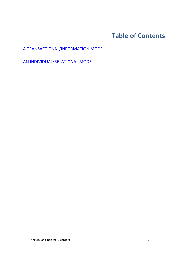# **Table of Contents**

A TRANSACTIONAL/INFORMATION MODEL

AN INDIVIDUAL/RELATIONAL MODEL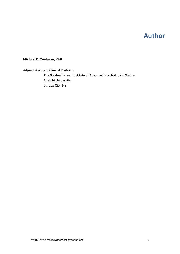## **Author**

#### **Michael D. Zentman, PhD**

Adjunct Assistant Clinical Professor The Gordon Derner Institute of Advanced Psychological Studies Adelphi University Garden City, NY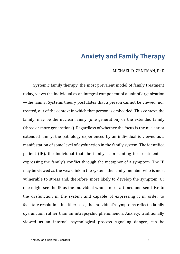### **Anxiety and Family Therapy**

#### MICHAEL D. ZENTMAN, PhD

Systemic family therapy, the most prevalent model of family treatment today, views the individual as an integral component of a unit of organization —the family. Systems theory postulates that a person cannot be viewed, nor treated, out of the context in which that person is embedded. This context, the family, may be the nuclear family (one generation) or the extended family (three or more generations). Regardless of whether the focus is the nuclear or extended family, the pathology experienced by an individual is viewed as a manifestation of some level of dysfunction in the family system. The identified patient (IP), the individual that the family is presenting for treatment, is expressing the family's conflict through the metaphor of a symptom. The IP may be viewed as the weak link in the system, the family member who is most vulnerable to stress and, therefore, most likely to develop the symptom. Or one might see the IP as the individual who is most attuned and sensitive to the dysfunction in the system and capable of expressing it in order to facilitate resolution. In either case, the individual's symptoms reflect a family dysfunction rather than an intrapsychic phenomenon. Anxiety, traditionally viewed as an internal psychological process signaling danger, can be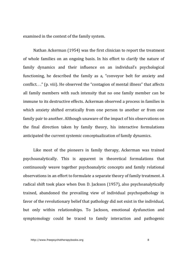examined in the context of the family system.

Nathan Ackerman (1954) was the first clinician to report the treatment of whole families on an ongoing basis. In his effort to clarify the nature of family dynamics and their influence on an individual's psychological functioning, he described the family as a, "conveyor belt for anxiety and conflict.  $\cdot$ ." (p. viii). He observed the "contagion of mental illness" that affects all family members with such intensity that no one family member can be immune to its destructive effects. Ackerman observed a process in families in which anxiety shifted erratically from one person to another or from one family pair to another. Although unaware of the impact of his observations on the final direction taken by family theory, his interactive formulations anticipated the current systemic conceptualization of family dynamics.

Like most of the pioneers in family therapy, Ackerman was trained psychoanalytically. This is apparent in theoretical formulations that continuously weave together psychoanalytic concepts and family relational observations in an effort to formulate a separate theory of family treatment. A radical shift took place when Don D. Jackson (1957), also psychoanalytically trained, abandoned the prevailing view of individual psychopathology in favor of the revolutionary belief that pathology did not exist in the individual, but only within relationships. To Jackson, emotional dysfunction and symptomology could be traced to family interaction and pathogenic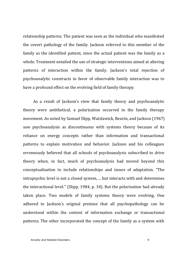relationship patterns. The patient was seen as the individual who manifested the covert pathology of the family. Jackson referred to this member of the family as the identified patient, since the actual patient was the family as a whole. Treatment entailed the use of strategic interventions aimed at altering patterns of interaction within the family. Jackson's total rejection of psychoanalytic constructs in favor of observable family interaction was to have a profound effect on the evolving field of family therapy.

As a result of Jackson's view that family theory and psychoanalytic theory were antithetical, a polarization occurred in the family therapy movement. As noted by Samuel Slipp, Watzlawick, Beavin, and Jackson (1967) saw psychoanalysis as discontinuous with systems theory because of its reliance on energy concepts rather than information and transactional patterns to explain motivation and behavior. Jackson and his colleagues erroneously believed that all schools of psychoanalysis subscribed to drive theory when, in fact, much of psychoanalysis had moved beyond this conceptualization to include relationships and issues of adaptation. "The intrapsychic level is not a closed system, ... but interacts with and determines the interactional level." (Slipp, 1984, p. 34). But the polarization had already taken place. Two models of family systems theory were evolving. One adhered to Jackson's original premise that all psychopathology can be understood within the context of information exchange or transactional patterns. The other incorporated the concept of the family as a system with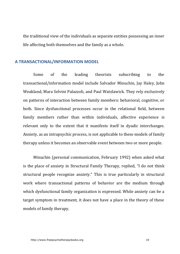the traditional view of the individuals as separate entities possessing an inner life affecting both themselves and the family as a whole.

#### **A TRANSACTIONAL/INFORMATION MODEL**

Some of the leading theorists subscribing to the transactional/information model include Salvador Minuchin, Jay Haley, John Weakland, Mara Selvini Palazzoli, and Paul Watzlawick. They rely exclusively on patterns of interaction between family members: behavioral, cognitive, or both. Since dysfunctional processes occur in the relational field, between family members rather than within individuals, affective experience is relevant only to the extent that it manifests itself in dyadic interchanges. Anxiety, as an intrapsychic process, is not applicable to these models of family therapy unless it becomes an observable event between two or more people.

Minuchin (personal communication, February 1992) when asked what is the place of anxiety in Structural Family Therapy, replied, "I do not think structural people recognize anxiety." This is true particularly in structural work where transactional patterns of behavior are the medium through which dysfunctional family organization is expressed. While anxiety can be a target symptom in treatment, it does not have a place in the theory of these models of family therapy.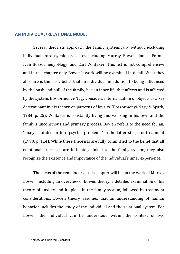#### **AN INDIVIDUAL/RELATIONAL MODEL**

Several theorists approach the family systemically without excluding individual intrapsychic processes including Murray Bowen, James Framo, Ivan Boszormenyi-Nagy, and Carl Whitaker. This list is not comprehensive and in this chapter only Bowen's work will be examined in detail. What they all share is the basic belief that an individual, in addition to being influenced by the push and pull of the family, has an inner life that affects and is affected by the system. Boszormenyi-Nagy considers internalization of objects as a key determinant in his theory on patterns of loyalty (Boszormenyi-Nagy & Spark, 1984, p. 25). Whitaker is constantly living and working in his own and the family's unconscious and primary process. Bowen refers to the need for an, "analysis of deeper intrapsychic problems" in the latter stages of treatment  $(1990, p. 114)$ . While these theorists are fully committed to the belief that all emotional processes are intimately linked to the family system, they also recognize the existence and importance of the individual's inner experience.

The focus of the remainder of this chapter will be on the work of Murray Bowen, including an overview of Bowen theory, a detailed examination of his theory of anxiety and its place in the family system, followed by treatment considerations. Bowen theory assumes that an understanding of human behavior includes the study of the individual and the relational system. For Bowen, the individual can be understood within the context of two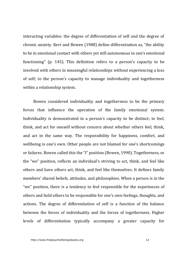interacting variables: the degree of differentiation of self and the degree of chronic anxiety. Kerr and Bowen (1988) define differentiation as, "the ability to be in emotional contact with others yet still autonomous in one's emotional functioning" (p. 145). This definition refers to a person's capacity to be involved with others in meaningful relationships without experiencing a loss of self; to the person's capacity to manage individuality and togetherness within a relationship system.

Bowen considered individuality and togetherness to be the primary forces that influence the operation of the family emotional system. Individuality is demonstrated in a person's capacity to be distinct; to feel, think, and act for oneself without concern about whether others feel, think, and act in the same way. The responsibility for happiness, comfort, and wellbeing is one's own. Other people are not blamed for one's shortcomings or failures. Bowen called this the "I" position (Bowen, 1990). Togetherness, or the "we" position, reflects an individual's striving to act, think, and feel like others and have others act, think, and feel like themselves. It defines family members' shared beliefs, attitudes, and philosophies. When a person is in the "we" position, there is a tendency to feel responsible for the experiences of others and hold others to be responsible for one's own feelings, thoughts, and actions. The degree of differentiation of self is a function of the balance between the forces of individuality and the forces of togetherness. Higher levels of differentiation typically accompany a greater capacity for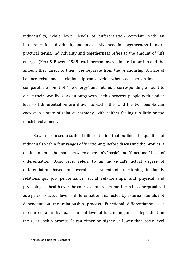individuality, while lower levels of differentiation correlate with an intolerance for individuality and an excessive need for togetherness. In more practical terms, individuality and togetherness refers to the amount of "life" energy" (Kerr & Bowen, 1988) each person invests in a relationship and the amount they direct to their lives separate from the relationship. A state of balance exists and a relationship can develop when each person invests a comparable amount of "life energy" and retains a corresponding amount to direct their own lives. As an outgrowth of this process, people with similar levels of differentiation are drawn to each other and the two people can coexist in a state of relative harmony, with neither feeling too little or too much involvement.

Bowen proposed a scale of differentiation that outlines the qualities of individuals within four ranges of functioning. Before discussing the profiles, a distinction must be made between a person's "basic" and "functional" level of differentiation. Basic level refers to an individual's actual degree of differentiation based on overall assessment of functioning in family relationships, job performance, social relationships, and physical and psychological health over the course of one's lifetime. It can be conceptualized as a person's actual level of differentiation unaffected by external stimuli, not dependent on the relationship process. Functional differentiation is a measure of an individual's current level of functioning and is dependent on the relationship process. It can either be higher or lower than basic level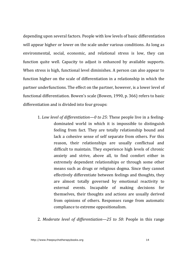depending upon several factors. People with low levels of basic differentiation will appear higher or lower on the scale under various conditions. As long as environmental, social, economic, and relational stress is low, they can function quite well. Capacity to adjust is enhanced by available supports. When stress is high, functional level diminishes. A person can also appear to function higher on the scale of differentiation in a relationship in which the partner underfunctions. The effect on the partner, however, is a lower level of functional differentiation. Bowen's scale (Bowen, 1990, p. 366) refers to basic differentiation and is divided into four groups:

- 1. Low level of differentiation—0 to 25: These people live in a feelingdominated world in which it is impossible to distinguish feeling from fact. They are totally relationship bound and lack a cohesive sense of self separate from others. For this reason, their relationships are usually conflictual and difficult to maintain. They experience high levels of chronic anxiety and strive, above all, to find comfort either in extremely dependent relationships or through some other means such as drugs or religious dogma. Since they cannot effectively differentiate between feelings and thoughts, they are almost totally governed by emotional reactivity to external events. Incapable of making decisions for themselves, their thoughts and actions are usually derived from opinions of others. Responses range from automatic compliance to extreme oppositionalism.
- 2. *Moderate level of differentiation—25 to 50*: People in this range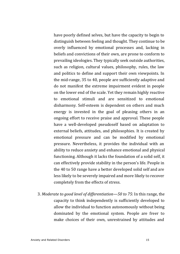have poorly defined selves, but have the capacity to begin to distinguish between feeling and thought. They continue to be overly influenced by emotional processes and, lacking in beliefs and convictions of their own, are prone to conform to prevailing ideologies. They typically seek outside authorities, such as religion, cultural values, philosophy, rules, the law and politics to define and support their own viewpoints. In the mid-range, 35 to 40, people are sufficiently adaptive and do not manifest the extreme impairment evident in people on the lower end of the scale. Yet they remain highly reactive to emotional stimuli and are sensitized to emotional disharmony. Self-esteem is dependent on others and much energy is invested in the goal of pleasing others in an ongoing effort to receive praise and approval. These people have a well-developed pseudoself based on adaptation to external beliefs, attitudes, and philosophies. It is created by emotional pressure and can be modified by emotional pressure. Nevertheless, it provides the individual with an ability to reduce anxiety and enhance emotional and physical functioning. Although it lacks the foundation of a solid self, it can effectively provide stability in the person's life. People in the 40 to 50 range have a better developed solid self and are less likely to be severely impaired and more likely to recover completely from the effects of stress.

3. *Moderate to good level of differentiation—50 to 75*: In this range, the capacity to think independently is sufficiently developed to allow the individual to function autonomously without being dominated by the emotional system. People are freer to make choices of their own, unrestrained by attitudes and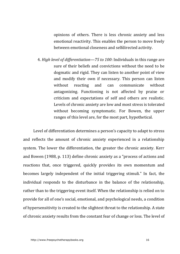opinions of others. There is less chronic anxiety and less emotional reactivity. This enables the person to move freely between emotional closeness and selfdirected activity.

4. *High level of differentiation—75 to 100*: Individuals in this range are sure of their beliefs and convictions without the need to be dogmatic and rigid. They can listen to another point of view and modify their own if necessary. This person can listen without reacting and can communicate without antagonizing. Functioning is not affected by praise or criticism and expectations of self and others are realistic. Levels of chronic anxiety are low and most stress is tolerated without becoming symptomatic. For Bowen, the upper ranges of this level are, for the most part, hypothetical.

Level of differentiation determines a person's capacity to adapt to stress and reflects the amount of chronic anxiety experienced in a relationship system. The lower the differentiation, the greater the chronic anxiety. Kerr and Bowen (1988, p. 113) define chronic anxiety as a "process of actions and reactions that, once triggered, quickly provides its own momentum and becomes largely independent of the initial triggering stimuli." In fact, the individual responds to the disturbance in the balance of the relationship, rather than to the triggering event itself. When the relationship is relied on to provide for all of one's social, emotional, and psychological needs, a condition of hypersensitivity is created to the slightest threat to the relationship. A state of chronic anxiety results from the constant fear of change or loss. The level of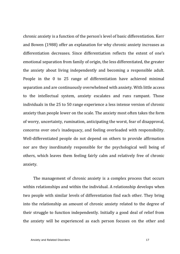chronic anxiety is a function of the person's level of basic differentiation. Kerr and Bowen (1988) offer an explanation for why chronic anxiety increases as differentiation decreases. Since differentiation reflects the extent of one's emotional separation from family of origin, the less differentiated, the greater the anxiety about living independently and becoming a responsible adult. People in the  $0$  to  $25$  range of differentiation have achieved minimal separation and are continuously overwhelmed with anxiety. With little access to the intellectual system, anxiety escalates and runs rampant. Those individuals in the 25 to 50 range experience a less intense version of chronic anxiety than people lower on the scale. The anxiety most often takes the form of worry, uncertainty, rumination, anticipating the worst, fear of disapproval, concerns over one's inadequacy, and feeling overloaded with responsibility. Well-differentiated people do not depend on others to provide affirmation nor are they inordinately responsible for the psychological well being of others, which leaves them feeling fairly calm and relatively free of chronic anxiety.

The management of chronic anxiety is a complex process that occurs within relationships and within the individual. A relationship develops when two people with similar levels of differentiation find each other. They bring into the relationship an amount of chronic anxiety related to the degree of their struggle to function independently. Initially a good deal of relief from the anxiety will be experienced as each person focuses on the other and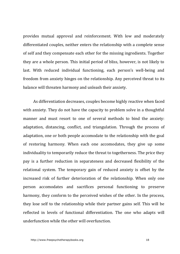provides mutual approval and reinforcement. With low and moderately differentiated couples, neither enters the relationship with a complete sense of self and they compensate each other for the missing ingredients. Together they are a whole person. This initial period of bliss, however, is not likely to last. With reduced individual functioning, each person's well-being and freedom from anxiety hinges on the relationship. Any perceived threat to its balance will threaten harmony and unleash their anxiety.

As differentiation decreases, couples become highly reactive when faced with anxiety. They do not have the capacity to problem solve in a thoughtful manner and must resort to one of several methods to bind the anxiety: adaptation, distancing, conflict, and triangulation. Through the process of adaptation, one or both people accomodate to the relationship with the goal of restoring harmony. When each one accomodates, they give up some individuality to temporarily reduce the threat to togetherness. The price they pay is a further reduction in separateness and decreased flexibility of the relational system. The temporary gain of reduced anxiety is offset by the increased risk of further deterioration of the relationship. When only one person accomodates and sacrifices personal functioning to preserve harmony, they conform to the perceived wishes of the other. In the process, they lose self to the relationship while their partner gains self. This will be reflected in levels of functional differentiation. The one who adapts will underfunction while the other will overfunction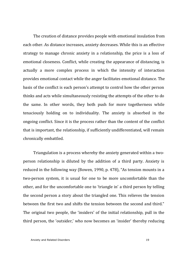The creation of distance provides people with emotional insulation from each other. As distance increases, anxiety decreases. While this is an effective strategy to manage chronic anxiety in a relationship, the price is a loss of emotional closeness. Conflict, while creating the appearance of distancing, is actually a more complex process in which the intensity of interaction provides emotional contact while the anger facilitates emotional distance. The basis of the conflict is each person's attempt to control how the other person thinks and acts while simultaneously resisting the attempts of the other to do the same. In other words, they both push for more togetherness while tenaciously holding on to individuality. The anxiety is absorbed in the ongoing conflict. Since it is the process rather than the content of the conflict that is important, the relationship, if sufficiently undifferentiated, will remain chronically embattled.

Triangulation is a process whereby the anxiety generated within a twoperson relationship is diluted by the addition of a third party. Anxiety is reduced in the following way (Bowen, 1990, p. 478), "As tension mounts in a two-person system, it is usual for one to be more uncomfortable than the other, and for the uncomfortable one to 'triangle in' a third person by telling the second person a story about the triangled one. This relieves the tension between the first two and shifts the tension between the second and third." The original two people, the 'insiders' of the initial relationship, pull in the third person, the 'outsider,' who now becomes an 'insider' thereby reducing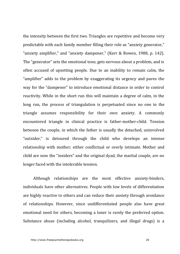the intensity between the first two. Triangles are repetitive and become very predictable with each family member filling their role as "anxiety generator," "anxiety amplifier," and "anxiety dampener," (Kerr & Bowen, 1988, p. 142). The "generator" sets the emotional tone, gets nervous about a problem, and is often accused of upsetting people. Due to an inability to remain calm, the "amplifier" adds to the problem by exaggerating its urgency and paves the way for the "dampener" to introduce emotional distance in order to control reactivity. While in the short run this will maintain a degree of calm, in the long run, the process of triangulation is perpetuated since no one in the triangle assumes responsibility for their own anxiety. A commonly encountered triangle in clinical practice is father-mother-child. Tension between the couple, in which the father is usually the detached, uninvolved "outsider," is detoured through the child who develops an intense relationship with mother; either conflictual or overly intimate. Mother and child are now the "insiders" and the original dyad, the marital couple, are no longer faced with the intolerable tension.

Although relationships are the most effective anxiety-binders, individuals have other alternatives. People with low levels of differentiation are highly reactive to others and can reduce their anxiety through avoidance of relationships. However, since undifferentiated people also have great emotional need for others, becoming a loner is rarely the preferred option. Substance abuse (including alcohol, tranquilizers, and illegal drugs) is a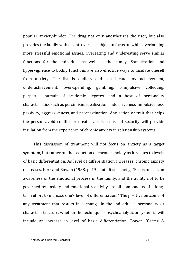popular anxiety-binder. The drug not only anesthetizes the user, but also provides the family with a controversial subject to focus on while overlooking more stressful emotional issues. Overeating and undereating serve similar functions for the individual as well as the family. Somatization and hypervigilence to bodily functions are also effective ways to insulate oneself from anxiety. The list is endless and can include overachievement, underachievement, over-spending, gambling, compulsive collecting, perpetual pursuit of academic degrees, and a host of personality characteristics such as pessimism, idealization, indecisiveness, impulsiveness, passivity, aggressiveness, and procrastination. Any action or trait that helps the person avoid conflict or creates a false sense of security will provide insulation from the experience of chronic anxiety in relationship systems.

This discussion of treatment will not focus on anxiety as a target symptom, but rather on the reduction of chronic anxiety as it relates to levels of basic differentiation. As level of differentiation increases, chronic anxiety decreases. Kerr and Bowen (1988, p. 79) state it succinctly, "Focus on self, an awareness of the emotional process in the family, and the ability not to be governed by anxiety and emotional reactivity are all components of a longterm effort to increase one's level of differentiation." The positive outcome of any treatment that results in a change in the individual's personality or character structure, whether the technique is psychoanalytic or systemic, will include an increase in level of basic differentiation. Bowen (Carter &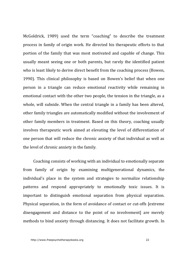McGoldrick, 1989) used the term "coaching" to describe the treatment process in family of origin work. He directed his therapeutic efforts to that portion of the family that was most motivated and capable of change. This usually meant seeing one or both parents, but rarely the identified patient who is least likely to derive direct benefit from the coaching process (Bowen, 1990). This clinical philosophy is based on Bowen's belief that when one person in a triangle can reduce emotional reactivity while remaining in emotional contact with the other two people, the tension in the triangle, as a whole, will subside. When the central triangle in a family has been altered, other family triangles are automatically modified without the involvement of other family members in treatment. Based on this theory, coaching usually involves therapeutic work aimed at elevating the level of differentiation of one person that will reduce the chronic anxiety of that individual as well as the level of chronic anxiety in the family.

Coaching consists of working with an individual to emotionally separate from family of origin by examining multigenerational dynamics, the individual's place in the system and strategies to normalize relationship patterns and respond appropriately to emotionally toxic issues. It is important to distinguish emotional separation from physical separation. Physical separation, in the form of avoidance of contact or cut-offs [extreme] disengagement and distance to the point of no involvement] are merely methods to bind anxiety through distancing. It does not facilitate growth. In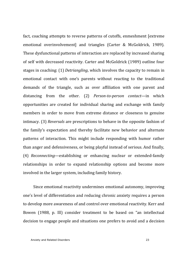fact, coaching attempts to reverse patterns of cutoffs, enmeshment [extreme emotional overinvolvement] and triangles (Carter & McGoldrick, 1989). These dysfunctional patterns of interaction are replaced by increased sharing of self with decreased reactivity. Carter and McGoldrick (1989) outline four stages in coaching: (1) *Detriangling*, which involves the capacity to remain in emotional contact with one's parents without reacting to the traditional demands of the triangle, such as over affiliation with one parent and distancing from the other. (2) *Person-to-person contact*—in which opportunities are created for individual sharing and exchange with family members in order to move from extreme distance or closeness to genuine intimacy. (3) *Reversals* are prescriptions to behave in the opposite fashion of the family's expectation and thereby facilitate new behavior and alternate patterns of interaction. This might include responding with humor rather than anger and defensiveness, or being playful instead of serious. And finally, (4) *Reconnecting*—establishing or enhancing nuclear or extended-family relationships in order to expand relationship options and become more involved in the larger system, including family history.

Since emotional reactivity undermines emotional autonomy, improving one's level of differentiation and reducing chronic anxiety requires a person to develop more awareness of and control over emotional reactivity. Kerr and Bowen (1988, p. Ill) consider treatment to be based on "an intellectual decision to engage people and situations one prefers to avoid and a decision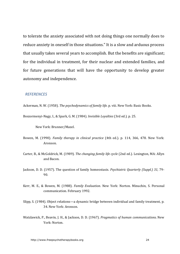to tolerate the anxiety associated with not doing things one normally does to reduce anxiety in oneself in those situations." It is a slow and arduous process that usually takes several years to accomplish. But the benefits are significant; for the individual in treatment, for their nuclear and extended families, and for future generations that will have the opportunity to develop greater autonomy and independence.

#### *REFERENCES*

Ackerman, N. W. (1958). *The psychodynamics of family life.* p. viii. New York: Basic Books.

Boszormenyi-Nagy, I., & Spark, G. M. (1984). *Invisible Loyalties* (3rd ed.). p. 25.

New York: Brunner/Mazel.

- Bowen, M. (1990). *Family therapy in clinical practice* (4th ed.). p. 114, 366, 478. New York: Aronson.
- Carter, B., & McGoldrick, M. (1989). *The changing family life cycle* (2nd ed.). Lexington, MA: Allyn and Bacon.
- Jackson, D. D. (1957). The question of family homeostasis. *Psychiatric Quarterly (Suppl.)* 31, 79-90.
- Kerr, M. E., & Bowen, M. (1988). *Family Evaluation*. New York: Norton. Minuchin, S. Personal communication. February 1992.
- Slipp, S. (1984). Object relations—a dynamic bridge between individual and family treatment, p. 34. New York: Aronson.
- Watzlawick, P., Beavin, J. H., & Jackson, D. D. (1967). *Pragmatics of human communications.* New York: Norton.